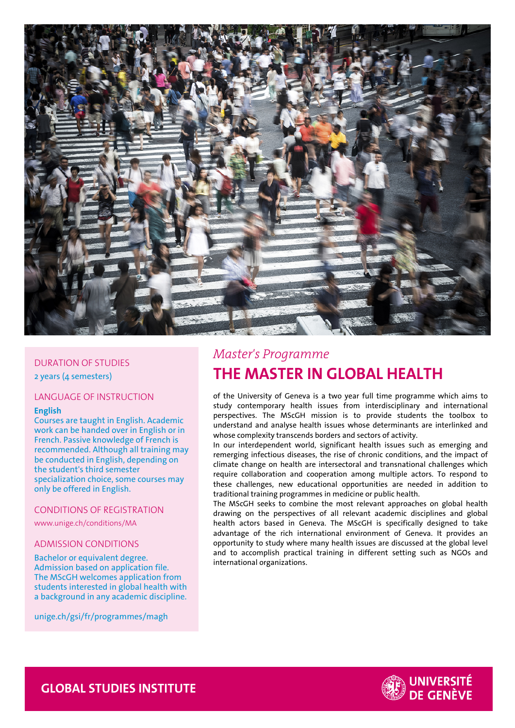

## DURATION OF STUDIES

2 years (4 semesters)

## LANGUAGE OF INSTRUCTION

#### **English**

Courses are taught in English. Academic work can be handed over in English or in French. Passive knowledge of French is recommended. Although all training may be conducted in English, depending on the student's third semester specialization choice, some courses may only be offered in English.

#### CONDITIONS OF REGISTRATION

www.unige.ch/conditions/MA

# ADMISSION CONDITIONS

Bachelor or equivalent degree. Admission based on application file. The MScGH welcomes application from students interested in global health with a background in any academic discipline.

unige.ch/gsi/fr/programmes/magh

# *Master's Programme* **THE MASTER IN GLOBAL HEALTH**

of the University of Geneva is a two year full time programme which aims to study contemporary health issues from interdisciplinary and international perspectives. The MScGH mission is to provide students the toolbox to understand and analyse health issues whose determinants are interlinked and whose complexity transcends borders and sectors of activity.

In our interdependent world, significant health issues such as emerging and remerging infectious diseases, the rise of chronic conditions, and the impact of climate change on health are intersectoral and transnational challenges which require collaboration and cooperation among multiple actors. To respond to these challenges, new educational opportunities are needed in addition to traditional training programmes in medicine or public health.

The MScGH seeks to combine the most relevant approaches on global health drawing on the perspectives of all relevant academic disciplines and global health actors based in Geneva. The MScGH is specifically designed to take advantage of the rich international environment of Geneva. It provides an opportunity to study where many health issues are discussed at the global level and to accomplish practical training in different setting such as NGOs and international organizations.



 **GLOBAL STUDIES INSTITUTE**